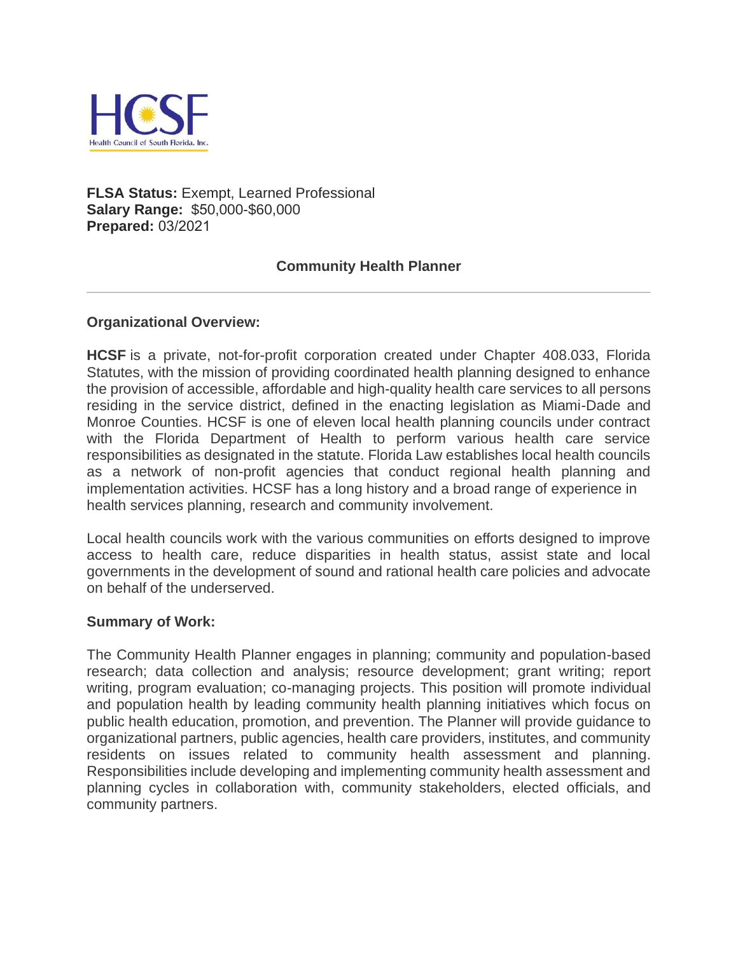

**FLSA Status:** Exempt, Learned Professional **Salary Range:** \$50,000-\$60,000 **Prepared:** 03/2021

### **Community Health Planner**

#### **Organizational Overview:**

**HCSF** is a private, not-for-profit corporation created under Chapter 408.033, Florida Statutes, with the mission of providing coordinated health planning designed to enhance the provision of accessible, affordable and high-quality health care services to all persons residing in the service district, defined in the enacting legislation as Miami-Dade and Monroe Counties. HCSF is one of eleven local health planning councils under contract with the Florida Department of Health to perform various health care service responsibilities as designated in the statute. Florida Law establishes local health councils as a network of non-profit agencies that conduct regional health planning and implementation activities. HCSF has a long history and a broad range of experience in health services planning, research and community involvement.

Local health councils work with the various communities on efforts designed to improve access to health care, reduce disparities in health status, assist state and local governments in the development of sound and rational health care policies and advocate on behalf of the underserved.

#### **Summary of Work:**

The Community Health Planner engages in planning; community and population-based research; data collection and analysis; resource development; grant writing; report writing, program evaluation; co-managing projects. This position will promote individual and population health by leading community health planning initiatives which focus on public health education, promotion, and prevention. The Planner will provide guidance to organizational partners, public agencies, health care providers, institutes, and community residents on issues related to community health assessment and planning. Responsibilities include developing and implementing community health assessment and planning cycles in collaboration with, community stakeholders, elected officials, and community partners.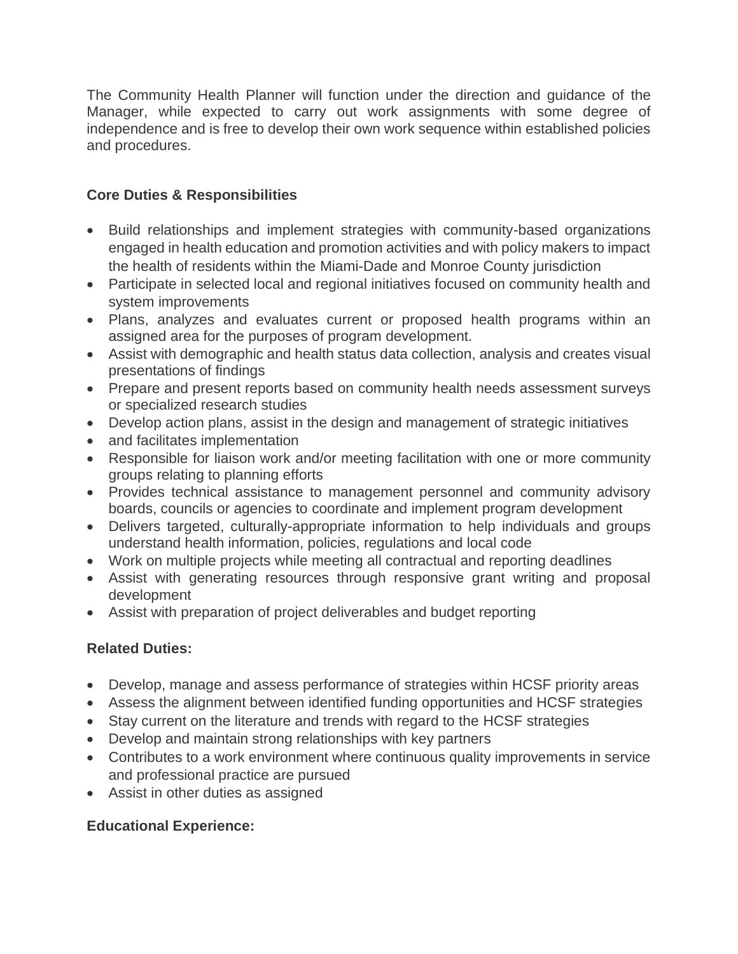The Community Health Planner will function under the direction and guidance of the Manager, while expected to carry out work assignments with some degree of independence and is free to develop their own work sequence within established policies and procedures.

## **Core Duties & Responsibilities**

- Build relationships and implement strategies with community-based organizations engaged in health education and promotion activities and with policy makers to impact the health of residents within the Miami-Dade and Monroe County jurisdiction
- Participate in selected local and regional initiatives focused on community health and system improvements
- Plans, analyzes and evaluates current or proposed health programs within an assigned area for the purposes of program development.
- Assist with demographic and health status data collection, analysis and creates visual presentations of findings
- Prepare and present reports based on community health needs assessment surveys or specialized research studies
- Develop action plans, assist in the design and management of strategic initiatives
- and facilitates implementation
- Responsible for liaison work and/or meeting facilitation with one or more community groups relating to planning efforts
- Provides technical assistance to management personnel and community advisory boards, councils or agencies to coordinate and implement program development
- Delivers targeted, culturally-appropriate information to help individuals and groups understand health information, policies, regulations and local code
- Work on multiple projects while meeting all contractual and reporting deadlines
- Assist with generating resources through responsive grant writing and proposal development
- Assist with preparation of project deliverables and budget reporting

# **Related Duties:**

- Develop, manage and assess performance of strategies within HCSF priority areas
- Assess the alignment between identified funding opportunities and HCSF strategies
- Stay current on the literature and trends with regard to the HCSF strategies
- Develop and maintain strong relationships with key partners
- Contributes to a work environment where continuous quality improvements in service and professional practice are pursued
- Assist in other duties as assigned

# **Educational Experience:**